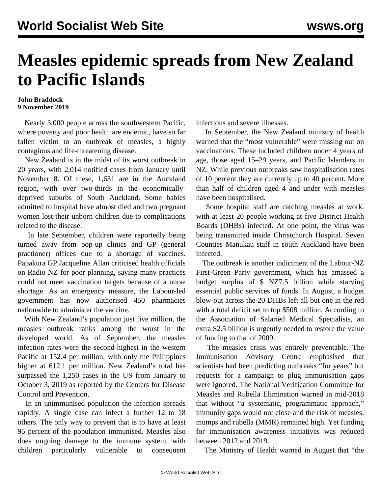## **Measles epidemic spreads from New Zealand to Pacific Islands**

## **John Braddock 9 November 2019**

 Nearly 3,000 people across the southwestern Pacific, where poverty and poor health are endemic, have so far fallen victim to an outbreak of measles, a highly contagious and life-threatening disease.

 New Zealand is in the midst of its worst outbreak in 20 years, with 2,014 notified cases from January until November 8. Of these, 1,631 are in the Auckland region, with over two-thirds in the economicallydeprived suburbs of South Auckland. Some babies admitted to hospital have almost died and two pregnant women lost their unborn children due to complications related to the disease.

 In late September, children were reportedly being turned away from pop-up clinics and GP (general practioner) offices due to a shortage of vaccines. Papakura GP Jacqueline Allan criticised health officials on Radio NZ for poor planning, saying many practices could not meet vaccination targets because of a nurse shortage. As an emergency measure, the Labour-led government has now authorised 450 pharmacies nationwide to administer the vaccine.

 With New Zealand's population just five million, the measles outbreak ranks among the worst in the developed world. As of September, the measles infection rates were the second-highest in the western Pacific at 152.4 per million, with only the Philippines higher at 612.1 per million. New Zealand's total has surpassed the 1,250 cases in the US from January to October 3, 2019 as reported by the Centers for Disease Control and Prevention.

 In an unimmunised population the infection spreads rapidly. A single case can infect a further 12 to 18 others. The only way to prevent that is to have at least 95 percent of the population immunised. Measles also does ongoing damage to the immune system, with children particularly vulnerable to consequent infections and severe illnesses.

 In September, the New Zealand ministry of health warned that the "most vulnerable" were missing out on vaccinations. These included children under 4 years of age, those aged 15–29 years, and Pacific Islanders in NZ. While previous outbreaks saw hospitalisation rates of 10 percent they are currently up to 40 percent. More than half of children aged 4 and under with measles have been hospitalised.

 Some hospital staff are catching measles at work, with at least 20 people working at five District Health Boards (DHBs) infected. At one point, the virus was being transmitted inside Christchurch Hospital. Seven Counties Manukau staff in south Auckland have been infected.

 The outbreak is another indictment of the Labour-NZ First-Green Party government, which has amassed a budget surplus of \$ NZ7.5 billion while starving essential public services of funds. In August, a budget blow-out across the 20 DHBs left all but one in the red with a total deficit set to top \$508 million. According to the Association of Salaried Medical Specialists, an extra [\\$2.5 billion](/en/articles/2019/10/02/heal-o02.html) is urgently needed to restore the value of funding to that of 2009.

 The measles crisis was entirely preventable. The Immunisation Advisory Centre emphasised that scientists had been predicting outbreaks "for years" but requests for a campaign to plug immunisation gaps were ignored. The National Verification Committee for Measles and Rubella Elimination warned in mid-2018 that without "a systematic, programmatic approach," immunity gaps would not close and the risk of measles, mumps and rubella (MMR) remained high. Yet funding for immunisation awareness initiatives was reduced between 2012 and 2019.

The Ministry of Health warned in August that "the